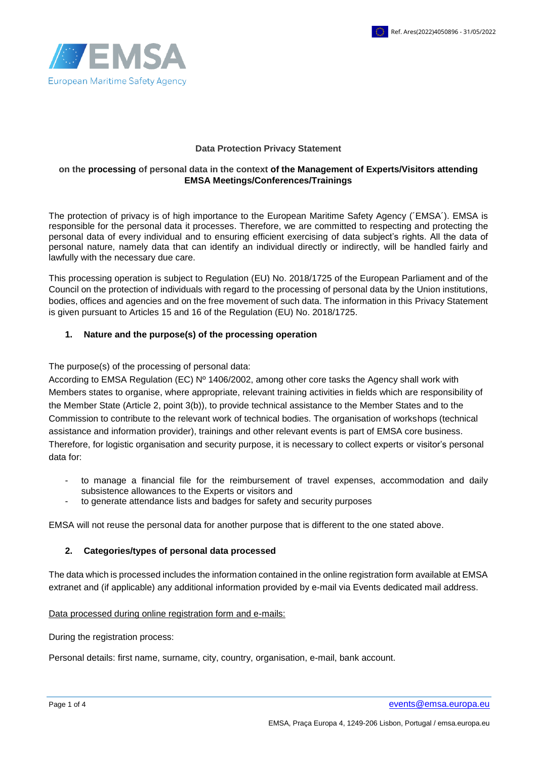

#### **Data Protection Privacy Statement**

### **on the processing of personal data in the context of the Management of Experts/Visitors attending EMSA Meetings/Conferences/Trainings**

The protection of privacy is of high importance to the European Maritime Safety Agency (´EMSA´). EMSA is responsible for the personal data it processes. Therefore, we are committed to respecting and protecting the personal data of every individual and to ensuring efficient exercising of data subject's rights. All the data of personal nature, namely data that can identify an individual directly or indirectly, will be handled fairly and lawfully with the necessary due care.

This processing operation is subject to Regulation (EU) No. 2018/1725 of the European Parliament and of the Council on the protection of individuals with regard to the processing of personal data by the Union institutions, bodies, offices and agencies and on the free movement of such data. The information in this Privacy Statement is given pursuant to Articles 15 and 16 of the Regulation (EU) No. 2018/1725.

### **1. Nature and the purpose(s) of the processing operation**

The purpose(s) of the processing of personal data:

According to EMSA Regulation (EC) Nº 1406/2002, among other core tasks the Agency shall work with Members states to organise, where appropriate, relevant training activities in fields which are responsibility of the Member State (Article 2, point 3(b)), to provide technical assistance to the Member States and to the Commission to contribute to the relevant work of technical bodies. The organisation of workshops (technical assistance and information provider), trainings and other relevant events is part of EMSA core business. Therefore, for logistic organisation and security purpose, it is necessary to collect experts or visitor's personal data for:

- to manage a financial file for the reimbursement of travel expenses, accommodation and daily subsistence allowances to the Experts or visitors and
- to generate attendance lists and badges for safety and security purposes

EMSA will not reuse the personal data for another purpose that is different to the one stated above.

# **2. Categories/types of personal data processed**

The data which is processed includes the information contained in the online registration form available at EMSA extranet and (if applicable) any additional information provided by e-mail via Events dedicated mail address.

### Data processed during online registration form and e-mails:

During the registration process:

Personal details: first name, surname, city, country, organisation, e-mail, bank account.

Page 1 of 4 [events@emsa.europa.eu](mailto:events@emsa.europa.eu)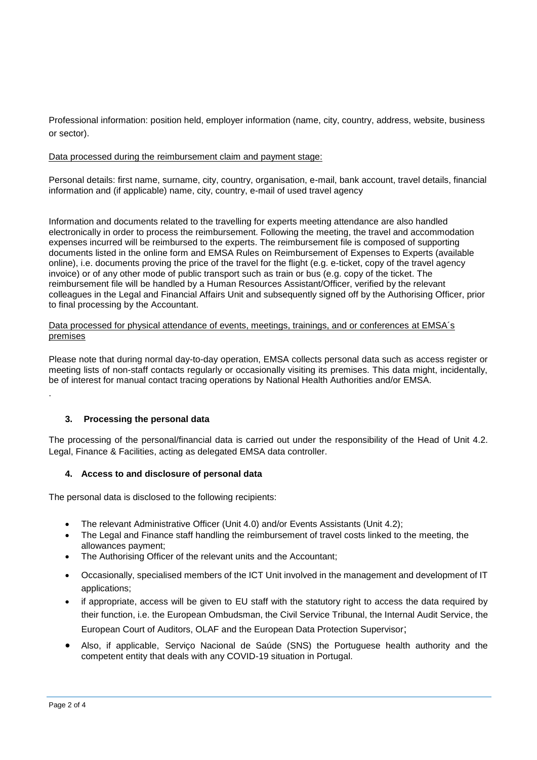Professional information: position held, employer information (name, city, country, address, website, business or sector).

### Data processed during the reimbursement claim and payment stage:

Personal details: first name, surname, city, country, organisation, e-mail, bank account, travel details, financial information and (if applicable) name, city, country, e-mail of used travel agency

Information and documents related to the travelling for experts meeting attendance are also handled electronically in order to process the reimbursement. Following the meeting, the travel and accommodation expenses incurred will be reimbursed to the experts. The reimbursement file is composed of supporting documents listed in the online form and EMSA Rules on Reimbursement of Expenses to Experts (available online), i.e. documents proving the price of the travel for the flight (e.g. e-ticket, copy of the travel agency invoice) or of any other mode of public transport such as train or bus (e.g. copy of the ticket. The reimbursement file will be handled by a Human Resources Assistant/Officer, verified by the relevant colleagues in the Legal and Financial Affairs Unit and subsequently signed off by the Authorising Officer, prior to final processing by the Accountant.

#### Data processed for physical attendance of events, meetings, trainings, and or conferences at EMSA´s premises

Please note that during normal day-to-day operation, EMSA collects personal data such as access register or meeting lists of non-staff contacts regularly or occasionally visiting its premises. This data might, incidentally, be of interest for manual contact tracing operations by National Health Authorities and/or EMSA.

### **3. Processing the personal data**

The processing of the personal/financial data is carried out under the responsibility of the Head of Unit 4.2. Legal, Finance & Facilities, acting as delegated EMSA data controller.

### **4. Access to and disclosure of personal data**

The personal data is disclosed to the following recipients:

- The relevant Administrative Officer (Unit 4.0) and/or Events Assistants (Unit 4.2);
- The Legal and Finance staff handling the reimbursement of travel costs linked to the meeting, the allowances payment;
- The Authorising Officer of the relevant units and the Accountant;
- Occasionally, specialised members of the ICT Unit involved in the management and development of IT applications;
- if appropriate, access will be given to EU staff with the statutory right to access the data required by their function, i.e. the European Ombudsman, the Civil Service Tribunal, the Internal Audit Service, the European Court of Auditors, OLAF and the European Data Protection Supervisor;
- Also, if applicable, Serviço Nacional de Saúde (SNS) the Portuguese health authority and the competent entity that deals with any COVID-19 situation in Portugal.

.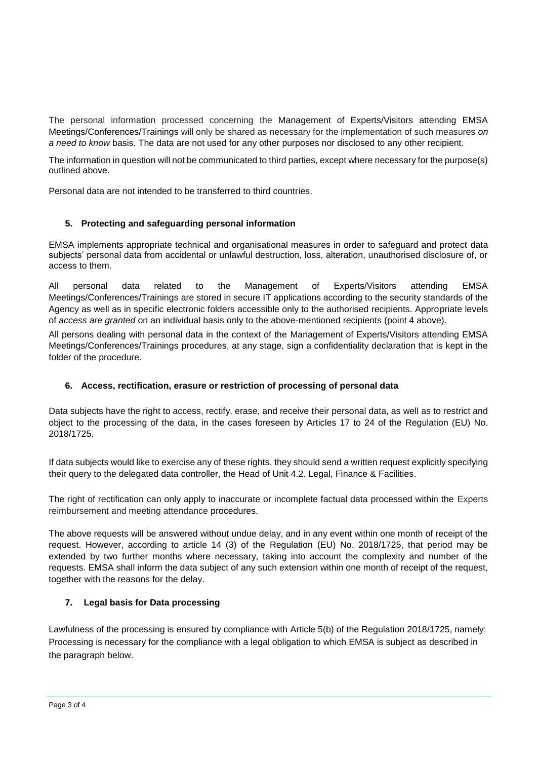The personal information processed concerning the Management of Experts/Visitors attending EMSA Meetings/Conferences/Trainings will only be shared as necessary for the implementation of such measures *on a need to know* basis. The data are not used for any other purposes nor disclosed to any other recipient.

The information in question will not be communicated to third parties, except where necessary for the purpose(s) outlined above.

Personal data are not intended to be transferred to third countries.

# **5. Protecting and safeguarding personal information**

EMSA implements appropriate technical and organisational measures in order to safeguard and protect data subjects' personal data from accidental or unlawful destruction, loss, alteration, unauthorised disclosure of, or access to them.

All personal data related to the Management of Experts/Visitors attending EMSA Meetings/Conferences/Trainings are stored in secure IT applications according to the security standards of the Agency as well as in specific electronic folders accessible only to the authorised recipients. Appropriate levels of *access are granted* on an individual basis only to the above-mentioned recipients (point 4 above).

All persons dealing with personal data in the context of the Management of Experts/Visitors attending EMSA Meetings/Conferences/Trainings procedures, at any stage, sign a confidentiality declaration that is kept in the folder of the procedure.

# **6. Access, rectification, erasure or restriction of processing of personal data**

Data subjects have the right to access, rectify, erase, and receive their personal data, as well as to restrict and object to the processing of the data, in the cases foreseen by Articles 17 to 24 of the Regulation (EU) No. 2018/1725.

If data subjects would like to exercise any of these rights, they should send a written request explicitly specifying their query to the delegated data controller, the Head of Unit 4.2. Legal, Finance & Facilities.

The right of rectification can only apply to inaccurate or incomplete factual data processed within the Experts reimbursement and meeting attendance procedures.

The above requests will be answered without undue delay, and in any event within one month of receipt of the request. However, according to article 14 (3) of the Regulation (EU) No. 2018/1725, that period may be extended by two further months where necessary, taking into account the complexity and number of the requests. EMSA shall inform the data subject of any such extension within one month of receipt of the request, together with the reasons for the delay.

# **7. Legal basis for Data processing**

Lawfulness of the processing is ensured by compliance with Article 5(b) of the Regulation 2018/1725, namely: Processing is necessary for the compliance with a legal obligation to which EMSA is subject as described in the paragraph below.